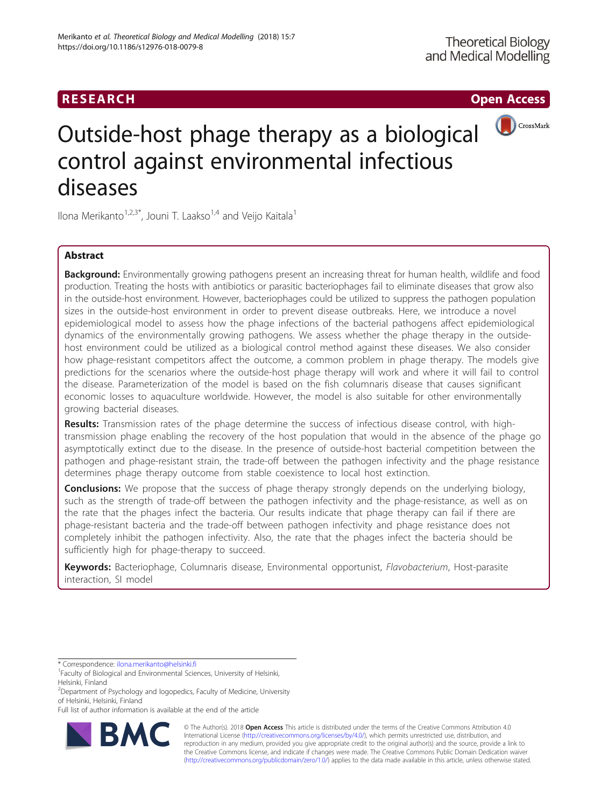



# Outside-host phage therapy as a biological control against environmental infectious diseases

Ilona Merikanto<sup>1,2,3\*</sup>, Jouni T. Laakso<sup>1,4</sup> and Veijo Kaitala<sup>1</sup>

# Abstract

**Background:** Environmentally growing pathogens present an increasing threat for human health, wildlife and food production. Treating the hosts with antibiotics or parasitic bacteriophages fail to eliminate diseases that grow also in the outside-host environment. However, bacteriophages could be utilized to suppress the pathogen population sizes in the outside-host environment in order to prevent disease outbreaks. Here, we introduce a novel epidemiological model to assess how the phage infections of the bacterial pathogens affect epidemiological dynamics of the environmentally growing pathogens. We assess whether the phage therapy in the outsidehost environment could be utilized as a biological control method against these diseases. We also consider how phage-resistant competitors affect the outcome, a common problem in phage therapy. The models give predictions for the scenarios where the outside-host phage therapy will work and where it will fail to control the disease. Parameterization of the model is based on the fish columnaris disease that causes significant economic losses to aquaculture worldwide. However, the model is also suitable for other environmentally growing bacterial diseases.

Results: Transmission rates of the phage determine the success of infectious disease control, with hightransmission phage enabling the recovery of the host population that would in the absence of the phage go asymptotically extinct due to the disease. In the presence of outside-host bacterial competition between the pathogen and phage-resistant strain, the trade-off between the pathogen infectivity and the phage resistance determines phage therapy outcome from stable coexistence to local host extinction.

**Conclusions:** We propose that the success of phage therapy strongly depends on the underlying biology, such as the strength of trade-off between the pathogen infectivity and the phage-resistance, as well as on the rate that the phages infect the bacteria. Our results indicate that phage therapy can fail if there are phage-resistant bacteria and the trade-off between pathogen infectivity and phage resistance does not completely inhibit the pathogen infectivity. Also, the rate that the phages infect the bacteria should be sufficiently high for phage-therapy to succeed.

Keywords: Bacteriophage, Columnaris disease, Environmental opportunist, Flavobacterium, Host-parasite interaction, SI model

Full list of author information is available at the end of the article



© The Author(s). 2018 Open Access This article is distributed under the terms of the Creative Commons Attribution 4.0 International License [\(http://creativecommons.org/licenses/by/4.0/](http://creativecommons.org/licenses/by/4.0/)), which permits unrestricted use, distribution, and reproduction in any medium, provided you give appropriate credit to the original author(s) and the source, provide a link to the Creative Commons license, and indicate if changes were made. The Creative Commons Public Domain Dedication waiver [\(http://creativecommons.org/publicdomain/zero/1.0/](http://creativecommons.org/publicdomain/zero/1.0/)) applies to the data made available in this article, unless otherwise stated.

<sup>\*</sup> Correspondence: [ilona.merikanto@helsinki.fi](mailto:ilona.merikanto@helsinki.fi) <sup>1</sup>

<sup>&</sup>lt;sup>1</sup> Faculty of Biological and Environmental Sciences, University of Helsinki, Helsinki, Finland

<sup>&</sup>lt;sup>2</sup>Department of Psychology and logopedics, Faculty of Medicine, University of Helsinki, Helsinki, Finland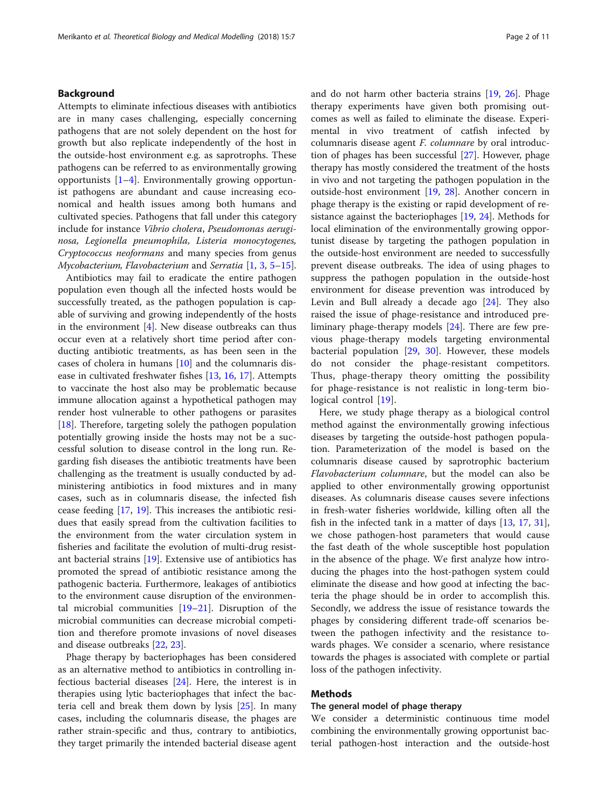# Background

Attempts to eliminate infectious diseases with antibiotics are in many cases challenging, especially concerning pathogens that are not solely dependent on the host for growth but also replicate independently of the host in the outside-host environment e.g. as saprotrophs. These pathogens can be referred to as environmentally growing opportunists  $[1-4]$  $[1-4]$  $[1-4]$  $[1-4]$ . Environmentally growing opportunist pathogens are abundant and cause increasing economical and health issues among both humans and cultivated species. Pathogens that fall under this category include for instance Vibrio cholera, Pseudomonas aeruginosa, Legionella pneumophila, Listeria monocytogenes, Cryptococcus neoformans and many species from genus Mycobacterium, Flavobacterium and Serratia [\[1](#page-10-0), [3](#page-10-0), [5](#page-10-0)–[15](#page-10-0)].

Antibiotics may fail to eradicate the entire pathogen population even though all the infected hosts would be successfully treated, as the pathogen population is capable of surviving and growing independently of the hosts in the environment  $[4]$  $[4]$  $[4]$ . New disease outbreaks can thus occur even at a relatively short time period after conducting antibiotic treatments, as has been seen in the cases of cholera in humans [[10](#page-10-0)] and the columnaris disease in cultivated freshwater fishes [[13](#page-10-0), [16](#page-10-0), [17](#page-10-0)]. Attempts to vaccinate the host also may be problematic because immune allocation against a hypothetical pathogen may render host vulnerable to other pathogens or parasites [[18\]](#page-10-0). Therefore, targeting solely the pathogen population potentially growing inside the hosts may not be a successful solution to disease control in the long run. Regarding fish diseases the antibiotic treatments have been challenging as the treatment is usually conducted by administering antibiotics in food mixtures and in many cases, such as in columnaris disease, the infected fish cease feeding [[17,](#page-10-0) [19](#page-10-0)]. This increases the antibiotic residues that easily spread from the cultivation facilities to the environment from the water circulation system in fisheries and facilitate the evolution of multi-drug resistant bacterial strains [[19\]](#page-10-0). Extensive use of antibiotics has promoted the spread of antibiotic resistance among the pathogenic bacteria. Furthermore, leakages of antibiotics to the environment cause disruption of the environmental microbial communities [\[19](#page-10-0)–[21\]](#page-10-0). Disruption of the microbial communities can decrease microbial competition and therefore promote invasions of novel diseases and disease outbreaks [\[22](#page-10-0), [23\]](#page-10-0).

Phage therapy by bacteriophages has been considered as an alternative method to antibiotics in controlling infectious bacterial diseases [\[24](#page-10-0)]. Here, the interest is in therapies using lytic bacteriophages that infect the bacteria cell and break them down by lysis [\[25](#page-10-0)]. In many cases, including the columnaris disease, the phages are rather strain-specific and thus, contrary to antibiotics, they target primarily the intended bacterial disease agent and do not harm other bacteria strains [[19,](#page-10-0) [26\]](#page-10-0). Phage

therapy experiments have given both promising outcomes as well as failed to eliminate the disease. Experimental in vivo treatment of catfish infected by columnaris disease agent F. columnare by oral introduction of phages has been successful [\[27](#page-10-0)]. However, phage therapy has mostly considered the treatment of the hosts in vivo and not targeting the pathogen population in the outside-host environment [\[19](#page-10-0), [28](#page-10-0)]. Another concern in phage therapy is the existing or rapid development of resistance against the bacteriophages [\[19](#page-10-0), [24](#page-10-0)]. Methods for local elimination of the environmentally growing opportunist disease by targeting the pathogen population in the outside-host environment are needed to successfully prevent disease outbreaks. The idea of using phages to suppress the pathogen population in the outside-host environment for disease prevention was introduced by Levin and Bull already a decade ago [[24\]](#page-10-0). They also raised the issue of phage-resistance and introduced preliminary phage-therapy models [[24](#page-10-0)]. There are few previous phage-therapy models targeting environmental bacterial population [\[29](#page-10-0), [30\]](#page-10-0). However, these models do not consider the phage-resistant competitors. Thus, phage-therapy theory omitting the possibility for phage-resistance is not realistic in long-term biological control [[19\]](#page-10-0).

Here, we study phage therapy as a biological control method against the environmentally growing infectious diseases by targeting the outside-host pathogen population. Parameterization of the model is based on the columnaris disease caused by saprotrophic bacterium Flavobacterium columnare, but the model can also be applied to other environmentally growing opportunist diseases. As columnaris disease causes severe infections in fresh-water fisheries worldwide, killing often all the fish in the infected tank in a matter of days [[13,](#page-10-0) [17,](#page-10-0) [31](#page-10-0)], we chose pathogen-host parameters that would cause the fast death of the whole susceptible host population in the absence of the phage. We first analyze how introducing the phages into the host-pathogen system could eliminate the disease and how good at infecting the bacteria the phage should be in order to accomplish this. Secondly, we address the issue of resistance towards the phages by considering different trade-off scenarios between the pathogen infectivity and the resistance towards phages. We consider a scenario, where resistance towards the phages is associated with complete or partial loss of the pathogen infectivity.

# Methods

#### The general model of phage therapy

We consider a deterministic continuous time model combining the environmentally growing opportunist bacterial pathogen-host interaction and the outside-host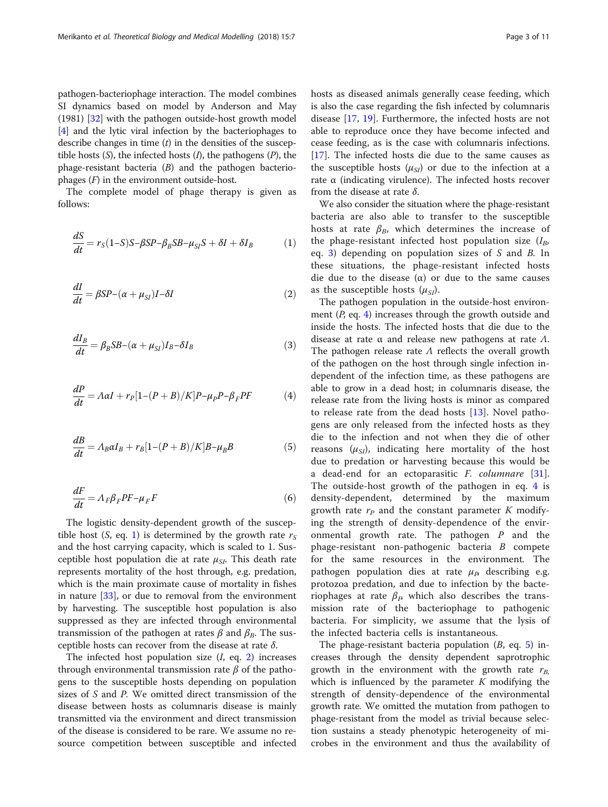<span id="page-2-0"></span>pathogen-bacteriophage interaction. The model combines SI dynamics based on model by Anderson and May (1981) [\[32](#page-10-0)] with the pathogen outside-host growth model [[4\]](#page-10-0) and the lytic viral infection by the bacteriophages to describe changes in time  $(t)$  in the densities of the susceptible hosts  $(S)$ , the infected hosts  $(I)$ , the pathogens  $(P)$ , the phage-resistant bacteria  $(B)$  and the pathogen bacteriophages  $(F)$  in the environment outside-host.

The complete model of phage therapy is given as follows:

$$
\frac{dS}{dt} = r_S(1-S)S - \beta SP - \beta_B SB - \mu_{SI}S + \delta I + \delta I_B \tag{1}
$$

$$
\frac{dI}{dt} = \beta SP - (\alpha + \mu_{SI})I - \delta I \tag{2}
$$

$$
\frac{dI_B}{dt} = \beta_B S B - (\alpha + \mu_{SI}) I_B - \delta I_B \tag{3}
$$

$$
\frac{dP}{dt} = A\alpha I + r_P[1 - (P + B)/K]P - \mu_P P - \beta_F P F \tag{4}
$$

$$
\frac{dB}{dt} = A_B \alpha I_B + r_B [1 - (P + B)/K] B - \mu_B B \tag{5}
$$

$$
\frac{dF}{dt} = \Lambda_F \beta_F P F - \mu_F F \tag{6}
$$

The logistic density-dependent growth of the susceptible host (S, eq. 1) is determined by the growth rate  $r<sub>S</sub>$ and the host carrying capacity, which is scaled to 1. Susceptible host population die at rate  $\mu_{SI}$ . This death rate represents mortality of the host through, e.g. predation, which is the main proximate cause of mortality in fishes in nature [\[33](#page-10-0)], or due to removal from the environment by harvesting. The susceptible host population is also suppressed as they are infected through environmental transmission of the pathogen at rates  $β$  and  $β_B$ . The susceptible hosts can recover from the disease at rate  $\delta$ .

The infected host population size (I, eq. 2) increases through environmental transmission rate  $\beta$  of the pathogens to the susceptible hosts depending on population sizes of S and P. We omitted direct transmission of the disease between hosts as columnaris disease is mainly transmitted via the environment and direct transmission of the disease is considered to be rare. We assume no resource competition between susceptible and infected hosts as diseased animals generally cease feeding, which is also the case regarding the fish infected by columnaris disease [\[17,](#page-10-0) [19](#page-10-0)]. Furthermore, the infected hosts are not able to reproduce once they have become infected and cease feeding, as is the case with columnaris infections. [[17\]](#page-10-0). The infected hosts die due to the same causes as the susceptible hosts  $(\mu_{SI})$  or due to the infection at a rate  $α$  (indicating virulence). The infected hosts recover from the disease at rate  $\delta$ .

We also consider the situation where the phage-resistant bacteria are also able to transfer to the susceptible hosts at rate  $\beta_B$ , which determines the increase of the phage-resistant infected host population size  $(I_B)$ eq. 3) depending on population sizes of S and B. In these situations, the phage-resistant infected hosts die due to the disease  $(α)$  or due to the same causes as the susceptible hosts  $(\mu_{SI})$ .

The pathogen population in the outside-host environment  $(P, \text{eq}, 4)$  increases through the growth outside and inside the hosts. The infected hosts that die due to the disease at rate  $\alpha$  and release new pathogens at rate  $\Lambda$ . The pathogen release rate  $\Lambda$  reflects the overall growth of the pathogen on the host through single infection independent of the infection time, as these pathogens are able to grow in a dead host; in columnaris disease, the release rate from the living hosts is minor as compared to release rate from the dead hosts [\[13](#page-10-0)]. Novel pathogens are only released from the infected hosts as they die to the infection and not when they die of other reasons  $(\mu_{SI})$ , indicating here mortality of the host due to predation or harvesting because this would be a dead-end for an ectoparasitic F. columnare [\[31](#page-10-0)]. The outside-host growth of the pathogen in eq. 4 is density-dependent, determined by the maximum growth rate  $r_p$  and the constant parameter K modifying the strength of density-dependence of the environmental growth rate. The pathogen  $P$  and the phage-resistant non-pathogenic bacteria B compete for the same resources in the environment. The pathogen population dies at rate  $\mu$ <sub>P</sub> describing e.g. protozoa predation, and due to infection by the bacteriophages at rate  $\beta_F$ , which also describes the transmission rate of the bacteriophage to pathogenic bacteria. For simplicity, we assume that the lysis of the infected bacteria cells is instantaneous.

The phage-resistant bacteria population  $(B, eq. 5)$  increases through the density dependent saprotrophic growth in the environment with the growth rate  $r_{B}$ , which is influenced by the parameter  $K$  modifying the strength of density-dependence of the environmental growth rate. We omitted the mutation from pathogen to phage-resistant from the model as trivial because selection sustains a steady phenotypic heterogeneity of microbes in the environment and thus the availability of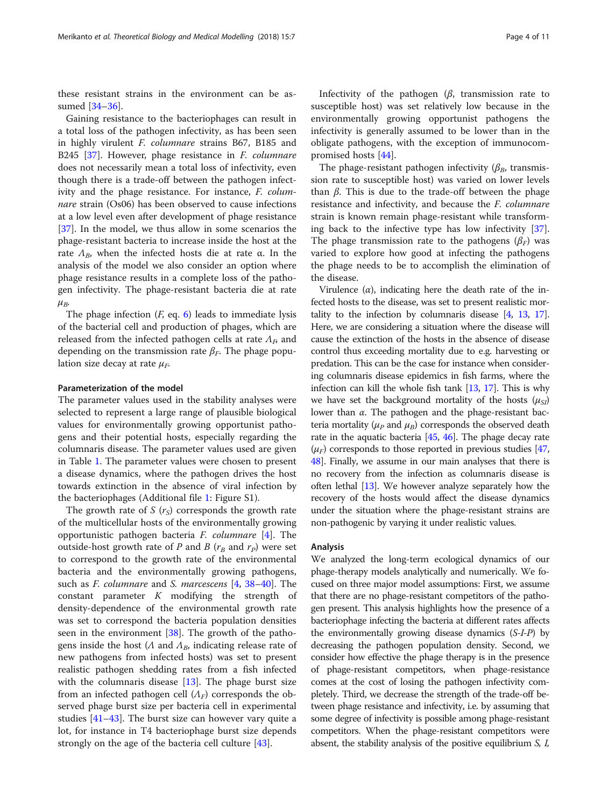these resistant strains in the environment can be assumed [[34](#page-10-0)–[36](#page-10-0)].

Gaining resistance to the bacteriophages can result in a total loss of the pathogen infectivity, as has been seen in highly virulent F. columnare strains B67, B185 and B245  $[37]$  $[37]$ . However, phage resistance in *F. columnare* does not necessarily mean a total loss of infectivity, even though there is a trade-off between the pathogen infectivity and the phage resistance. For instance, F. columnare strain (Os06) has been observed to cause infections at a low level even after development of phage resistance [[37\]](#page-10-0). In the model, we thus allow in some scenarios the phage-resistant bacteria to increase inside the host at the rate  $Λ$ <sub>B</sub>, when the infected hosts die at rate α. In the analysis of the model we also consider an option where phage resistance results in a complete loss of the pathogen infectivity. The phage-resistant bacteria die at rate  $\mu_B$ .

The phage infection  $(F, eq, 6)$  $(F, eq, 6)$  leads to immediate lysis of the bacterial cell and production of phages, which are released from the infected pathogen cells at rate  $\Lambda_B$  and depending on the transmission rate  $\beta_F$ . The phage population size decay at rate  $\mu_F$ .

#### Parameterization of the model

The parameter values used in the stability analyses were selected to represent a large range of plausible biological values for environmentally growing opportunist pathogens and their potential hosts, especially regarding the columnaris disease. The parameter values used are given in Table [1.](#page-4-0) The parameter values were chosen to present a disease dynamics, where the pathogen drives the host towards extinction in the absence of viral infection by the bacteriophages (Additional file [1:](#page-9-0) Figure S1).

The growth rate of  $S (r<sub>S</sub>)$  corresponds the growth rate of the multicellular hosts of the environmentally growing opportunistic pathogen bacteria F. columnare [\[4](#page-10-0)]. The outside-host growth rate of P and B ( $r_B$  and  $r_p$ ) were set to correspond to the growth rate of the environmental bacteria and the environmentally growing pathogens, such as *F. columnare* and *S. marcescens* [\[4](#page-10-0), [38](#page-10-0)-[40\]](#page-10-0). The constant parameter  $K$  modifying the strength of density-dependence of the environmental growth rate was set to correspond the bacteria population densities seen in the environment [\[38\]](#page-10-0). The growth of the pathogens inside the host ( $\Lambda$  and  $\Lambda_B$ , indicating release rate of new pathogens from infected hosts) was set to present realistic pathogen shedding rates from a fish infected with the columnaris disease [[13\]](#page-10-0). The phage burst size from an infected pathogen cell  $(A_F)$  corresponds the observed phage burst size per bacteria cell in experimental studies [\[41](#page-10-0)–[43\]](#page-10-0). The burst size can however vary quite a lot, for instance in T4 bacteriophage burst size depends strongly on the age of the bacteria cell culture [[43\]](#page-10-0).

Infectivity of the pathogen (β, transmission rate to susceptible host) was set relatively low because in the environmentally growing opportunist pathogens the infectivity is generally assumed to be lower than in the obligate pathogens, with the exception of immunocompromised hosts [\[44](#page-10-0)].

The phage-resistant pathogen infectivity ( $\beta_B$ , transmission rate to susceptible host) was varied on lower levels than  $β$ . This is due to the trade-off between the phage resistance and infectivity, and because the F. columnare strain is known remain phage-resistant while transforming back to the infective type has low infectivity [\[37](#page-10-0)]. The phage transmission rate to the pathogens  $(\beta_F)$  was varied to explore how good at infecting the pathogens the phage needs to be to accomplish the elimination of the disease.

Virulence  $(\alpha)$ , indicating here the death rate of the infected hosts to the disease, was set to present realistic mortality to the infection by columnaris disease [\[4,](#page-10-0) [13](#page-10-0), [17](#page-10-0)]. Here, we are considering a situation where the disease will cause the extinction of the hosts in the absence of disease control thus exceeding mortality due to e.g. harvesting or predation. This can be the case for instance when considering columnaris disease epidemics in fish farms, where the infection can kill the whole fish tank [\[13,](#page-10-0) [17\]](#page-10-0). This is why we have set the background mortality of the hosts  $(\mu_{SI})$ lower than  $\alpha$ . The pathogen and the phage-resistant bacteria mortality ( $\mu$ <sub>*P*</sub> and  $\mu$ <sub>*B*</sub>) corresponds the observed death rate in the aquatic bacteria  $[45, 46]$  $[45, 46]$  $[45, 46]$ . The phage decay rate  $(\mu_F)$  corresponds to those reported in previous studies [\[47](#page-10-0), [48](#page-10-0)]. Finally, we assume in our main analyses that there is no recovery from the infection as columnaris disease is often lethal [\[13\]](#page-10-0). We however analyze separately how the recovery of the hosts would affect the disease dynamics under the situation where the phage-resistant strains are non-pathogenic by varying it under realistic values.

#### Analysis

We analyzed the long-term ecological dynamics of our phage-therapy models analytically and numerically. We focused on three major model assumptions: First, we assume that there are no phage-resistant competitors of the pathogen present. This analysis highlights how the presence of a bacteriophage infecting the bacteria at different rates affects the environmentally growing disease dynamics (S-I-P) by decreasing the pathogen population density. Second, we consider how effective the phage therapy is in the presence of phage-resistant competitors, when phage-resistance comes at the cost of losing the pathogen infectivity completely. Third, we decrease the strength of the trade-off between phage resistance and infectivity, i.e. by assuming that some degree of infectivity is possible among phage-resistant competitors. When the phage-resistant competitors were absent, the stability analysis of the positive equilibrium S, I,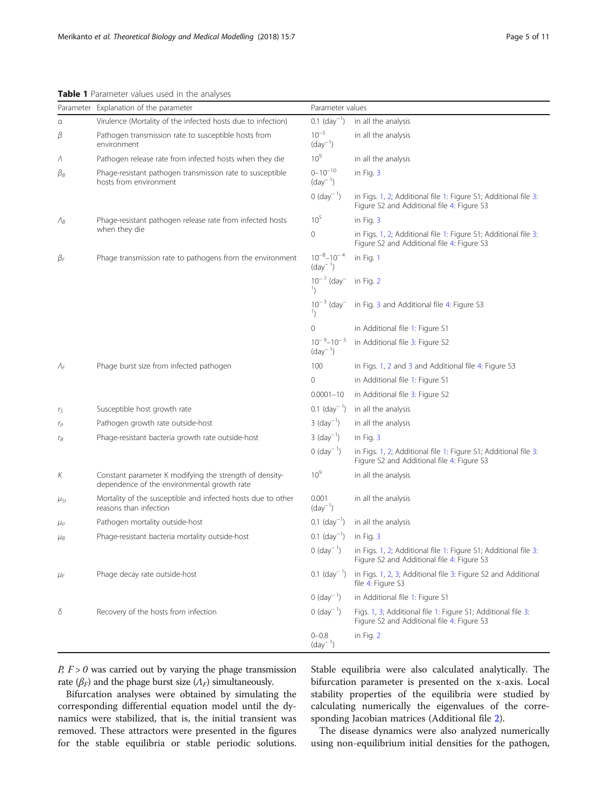<span id="page-4-0"></span>Table 1 Parameter values used in the analyses

|                   | Parameter Explanation of the parameter                                                                 | Parameter values                      |                                                                                                               |
|-------------------|--------------------------------------------------------------------------------------------------------|---------------------------------------|---------------------------------------------------------------------------------------------------------------|
| α                 | Virulence (Mortality of the infected hosts due to infection)                                           | $0.1$ (day <sup>-1</sup> )            | in all the analysis                                                                                           |
| β                 | Pathogen transmission rate to susceptible hosts from<br>environment                                    | $10^{-5}$<br>$(day^{-1})$             | in all the analysis                                                                                           |
| Λ                 | Pathogen release rate from infected hosts when they die                                                | 10 <sup>9</sup>                       | in all the analysis                                                                                           |
| $\beta_B$         | Phage-resistant pathogen transmission rate to susceptible<br>hosts from environment                    | $0 - 10^{-10}$<br>$(\text{day}^{-1})$ | in Fig. 3                                                                                                     |
|                   |                                                                                                        | 0 $\frac{(\text{day}^{-1})}{2}$       | in Figs. 1, 2; Additional file 1: Figure S1; Additional file 3:<br>Figure S2 and Additional file 4: Figure S3 |
| $\Lambda_{\beta}$ | Phage-resistant pathogen release rate from infected hosts<br>when they die                             | $10^{5}$                              | in Fig. 3                                                                                                     |
|                   |                                                                                                        | 0                                     | in Figs. 1, 2; Additional file 1: Figure S1; Additional file 3:<br>Figure S2 and Additional file 4: Figure S3 |
| $\beta_F$         | Phage transmission rate to pathogens from the environment                                              | $10^{-8} - 10^{-4}$<br>$(day^{-1})$   | in Fig. 1                                                                                                     |
|                   |                                                                                                        | $10^{-7}$ (day <sup>-</sup>           | in Fig. 2                                                                                                     |
|                   |                                                                                                        | $10^{-3}$ (day                        | in Fig. 3 and Additional file 4: Figure S3                                                                    |
|                   |                                                                                                        | 0                                     | in Additional file 1: Figure S1                                                                               |
|                   |                                                                                                        | $10^{-9} - 10^{-5}$<br>$(day^{-1})$   | in Additional file 3: Figure S2                                                                               |
| $\Lambda_F$       | Phage burst size from infected pathogen                                                                | 100                                   | in Figs. 1, 2 and 3 and Additional file 4: Figure S3                                                          |
|                   |                                                                                                        | 0                                     | in Additional file 1: Figure S1                                                                               |
|                   |                                                                                                        | $0.0001 - 10$                         | in Additional file 3: Figure S2                                                                               |
| rs                | Susceptible host growth rate                                                                           | $0.1$ (day <sup>-1</sup> )            | in all the analysis                                                                                           |
| ľр                | Pathogen growth rate outside-host                                                                      | $3$ (day <sup>-1</sup> )              | in all the analysis                                                                                           |
| rв                | Phage-resistant bacteria growth rate outside-host                                                      | $3$ (day <sup>-1</sup> )              | in Fig. 3                                                                                                     |
|                   |                                                                                                        | $0$ (day <sup>-1</sup> )              | in Figs. 1, 2; Additional file 1: Figure S1; Additional file 3:<br>Figure S2 and Additional file 4: Figure S3 |
| К                 | Constant parameter K modifying the strength of density-<br>dependence of the environmental growth rate | 10 <sup>9</sup>                       | in all the analysis                                                                                           |
| $\mu_{SI}$        | Mortality of the susceptible and infected hosts due to other<br>reasons than infection                 | 0.001<br>$(day^{-1})$                 | in all the analysis                                                                                           |
| $\mu_P$           | Pathogen mortality outside-host                                                                        | $0.1$ (day <sup>-1</sup> )            | in all the analysis                                                                                           |
| $\mu_B$           | Phage-resistant bacteria mortality outside-host                                                        | $0.1$ (day <sup>-1</sup> )            | in Fig. 3                                                                                                     |
|                   |                                                                                                        | 0 $\frac{(\text{day}^{-1})}{2}$       | in Figs. 1, 2; Additional file 1: Figure S1; Additional file 3:<br>Figure S2 and Additional file 4: Figure S3 |
| $\mu_F$           | Phage decay rate outside-host                                                                          | $0.1$ (day <sup>-1</sup> )            | in Figs. 1, 2, 3; Additional file 3: Figure S2 and Additional<br>file 4: Figure S3                            |
|                   |                                                                                                        | $0$ (day <sup>-1</sup> )              | in Additional file 1: Figure S1                                                                               |
| δ                 | Recovery of the hosts from infection                                                                   | 0 $\frac{(\text{day}^{-1})}{2}$       | Figs. 1, 3; Additional file 1: Figure S1; Additional file 3:<br>Figure S2 and Additional file 4: Figure S3    |
|                   |                                                                                                        | $0 - 0.8$<br>$(day^{-1})$             | in Fig. 2                                                                                                     |

 $P, F > 0$  was carried out by varying the phage transmission rate ( $\beta_F$ ) and the phage burst size ( $\Lambda_F$ ) simultaneously.

Bifurcation analyses were obtained by simulating the corresponding differential equation model until the dynamics were stabilized, that is, the initial transient was removed. These attractors were presented in the figures for the stable equilibria or stable periodic solutions.

Stable equilibria were also calculated analytically. The bifurcation parameter is presented on the x-axis. Local stability properties of the equilibria were studied by calculating numerically the eigenvalues of the corresponding Jacobian matrices (Additional file [2](#page-9-0)).

The disease dynamics were also analyzed numerically using non-equilibrium initial densities for the pathogen,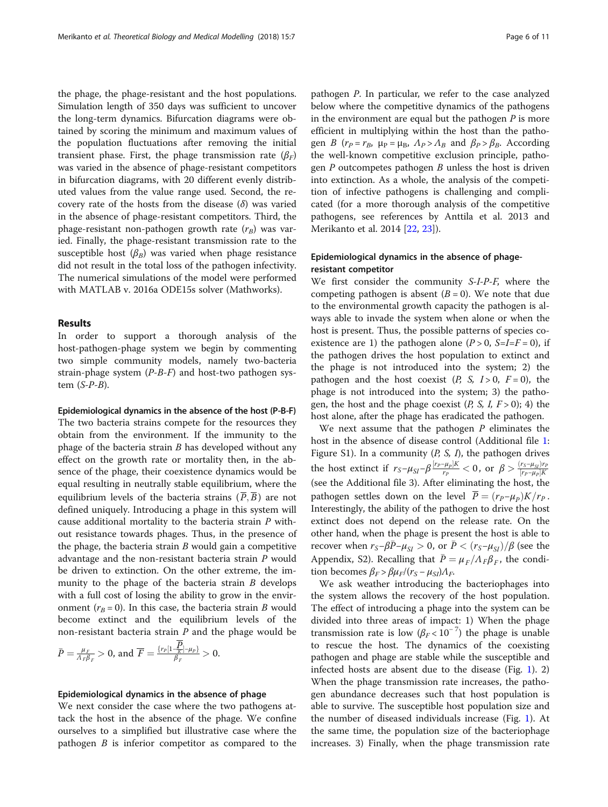the phage, the phage-resistant and the host populations. Simulation length of 350 days was sufficient to uncover the long-term dynamics. Bifurcation diagrams were obtained by scoring the minimum and maximum values of the population fluctuations after removing the initial transient phase. First, the phage transmission rate  $(\beta_F)$ was varied in the absence of phage-resistant competitors in bifurcation diagrams, with 20 different evenly distributed values from the value range used. Second, the recovery rate of the hosts from the disease  $(\delta)$  was varied in the absence of phage-resistant competitors. Third, the phage-resistant non-pathogen growth rate  $(r_B)$  was varied. Finally, the phage-resistant transmission rate to the susceptible host  $(\beta_B)$  was varied when phage resistance did not result in the total loss of the pathogen infectivity. The numerical simulations of the model were performed with MATLAB v. 2016a ODE15s solver (Mathworks).

### Results

In order to support a thorough analysis of the host-pathogen-phage system we begin by commenting two simple community models, namely two-bacteria strain-phage system  $(P-B-F)$  and host-two pathogen system  $(S-P-B)$ .

#### Epidemiological dynamics in the absence of the host (P-B-F)

The two bacteria strains compete for the resources they obtain from the environment. If the immunity to the phage of the bacteria strain  $B$  has developed without any effect on the growth rate or mortality then, in the absence of the phage, their coexistence dynamics would be equal resulting in neutrally stable equilibrium, where the equilibrium levels of the bacteria strains  $(\overline{P}, \overline{B})$  are not defined uniquely. Introducing a phage in this system will cause additional mortality to the bacteria strain P without resistance towards phages. Thus, in the presence of the phage, the bacteria strain  $B$  would gain a competitive advantage and the non-resistant bacteria strain P would be driven to extinction. On the other extreme, the immunity to the phage of the bacteria strain  $B$  develops with a full cost of losing the ability to grow in the environment ( $r_B = 0$ ). In this case, the bacteria strain B would become extinct and the equilibrium levels of the non-resistant bacteria strain  $P$  and the phage would be

$$
\bar{P}=\frac{\mu_F}{\Lambda_F \beta_F}>0, \text{ and } \overline{F}=\frac{\{r_P[1-\frac{P}{K}]-\mu_P\}}{\beta_F}>0.
$$

# Epidemiological dynamics in the absence of phage

We next consider the case where the two pathogens attack the host in the absence of the phage. We confine ourselves to a simplified but illustrative case where the pathogen  $B$  is inferior competitor as compared to the

pathogen P. In particular, we refer to the case analyzed below where the competitive dynamics of the pathogens in the environment are equal but the pathogen  $P$  is more efficient in multiplying within the host than the pathogen B ( $r_P = r_B$ ,  $\mu_P = \mu_B$ ,  $\Lambda_P > \Lambda_B$  and  $\beta_P > \beta_B$ . According the well-known competitive exclusion principle, pathogen  $P$  outcompetes pathogen  $B$  unless the host is driven into extinction. As a whole, the analysis of the competition of infective pathogens is challenging and complicated (for a more thorough analysis of the competitive pathogens, see references by Anttila et al. 2013 and Merikanto et al. 2014 [[22,](#page-10-0) [23](#page-10-0)]).

# Epidemiological dynamics in the absence of phageresistant competitor

We first consider the community S-I-P-F, where the competing pathogen is absent  $(B = 0)$ . We note that due to the environmental growth capacity the pathogen is always able to invade the system when alone or when the host is present. Thus, the possible patterns of species coexistence are 1) the pathogen alone  $(P > 0, S=I=F=0)$ , if the pathogen drives the host population to extinct and the phage is not introduced into the system; 2) the pathogen and the host coexist  $(P, S, I > 0, F = 0)$ , the phage is not introduced into the system; 3) the pathogen, the host and the phage coexist  $(P, S, I, F > 0)$ ; 4) the host alone, after the phage has eradicated the pathogen.

We next assume that the pathogen  $P$  eliminates the host in the absence of disease control (Additional file [1](#page-9-0): Figure S1). In a community  $(P, S, I)$ , the pathogen drives the host extinct if  $r_S - \mu_{SI} - \beta \frac{[r_P - \mu_P]K}{r_P} < 0$ , or  $\beta > \frac{(r_S - \mu_S)r_P}{[r_P - \mu_P]K}$ (see the Additional file 3). After eliminating the host, the pathogen settles down on the level  $\overline{P} = (r_P - \mu_P)K/r_P$ . Interestingly, the ability of the pathogen to drive the host extinct does not depend on the release rate. On the other hand, when the phage is present the host is able to recover when  $r_S - \beta \bar{P} - \mu_{SI} > 0$ , or  $\bar{P} < (r_S - \mu_{SI})/\beta$  (see the Appendix, S2). Recalling that  $\bar{P} = \mu_F / A_F \beta_F$ , the condition becomes  $\beta_F > \beta \mu_F / (r_S - \mu_{SI}) \Lambda_F$ .

We ask weather introducing the bacteriophages into the system allows the recovery of the host population. The effect of introducing a phage into the system can be divided into three areas of impact: 1) When the phage transmission rate is low ( $\beta_F < 10^{-7}$ ) the phage is unable to rescue the host. The dynamics of the coexisting pathogen and phage are stable while the susceptible and infected hosts are absent due to the disease (Fig. [1](#page-6-0)). 2) When the phage transmission rate increases, the pathogen abundance decreases such that host population is able to survive. The susceptible host population size and the number of diseased individuals increase (Fig. [1](#page-6-0)). At the same time, the population size of the bacteriophage increases. 3) Finally, when the phage transmission rate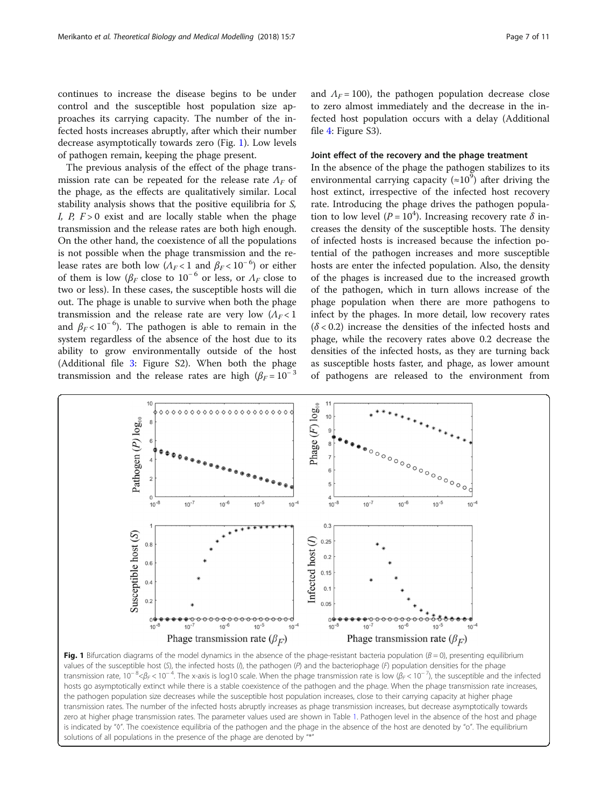<span id="page-6-0"></span>continues to increase the disease begins to be under control and the susceptible host population size approaches its carrying capacity. The number of the infected hosts increases abruptly, after which their number decrease asymptotically towards zero (Fig. 1). Low levels of pathogen remain, keeping the phage present.

The previous analysis of the effect of the phage transmission rate can be repeated for the release rate  $\Lambda_F$  of the phage, as the effects are qualitatively similar. Local stability analysis shows that the positive equilibria for S, I,  $P$ ,  $F > 0$  exist and are locally stable when the phage transmission and the release rates are both high enough. On the other hand, the coexistence of all the populations is not possible when the phage transmission and the release rates are both low  $(A_F < 1$  and  $\beta_F < 10^{-6}$ ) or either of them is low ( $\beta_F$  close to 10<sup>-6</sup> or less, or  $\Lambda_F$  close to two or less). In these cases, the susceptible hosts will die out. The phage is unable to survive when both the phage transmission and the release rate are very low  $(A_F < 1$ and  $\beta_F$  < 10<sup>-6</sup>). The pathogen is able to remain in the system regardless of the absence of the host due to its ability to grow environmentally outside of the host (Additional file [3:](#page-9-0) Figure S2). When both the phage transmission and the release rates are high ( $\beta_F = 10^{-3}$ ) and  $\Lambda_F$  = 100), the pathogen population decrease close to zero almost immediately and the decrease in the infected host population occurs with a delay (Additional file [4:](#page-9-0) Figure S3).

#### Joint effect of the recovery and the phage treatment

In the absence of the phage the pathogen stabilizes to its environmental carrying capacity ( $\approx 10^9$ ) after driving the host extinct, irrespective of the infected host recovery rate. Introducing the phage drives the pathogen population to low level ( $P = 10<sup>4</sup>$ ). Increasing recovery rate  $\delta$  increases the density of the susceptible hosts. The density of infected hosts is increased because the infection potential of the pathogen increases and more susceptible hosts are enter the infected population. Also, the density of the phages is increased due to the increased growth of the pathogen, which in turn allows increase of the phage population when there are more pathogens to infect by the phages. In more detail, low recovery rates  $(\delta < 0.2)$  increase the densities of the infected hosts and phage, while the recovery rates above 0.2 decrease the densities of the infected hosts, as they are turning back as susceptible hosts faster, and phage, as lower amount of pathogens are released to the environment from



Fig. 1 Bifurcation diagrams of the model dynamics in the absence of the phage-resistant bacteria population ( $B = 0$ ), presenting equilibrium values of the susceptible host  $(S)$ , the infected hosts  $(1)$ , the pathogen  $(P)$  and the bacteriophage  $(F)$  population densities for the phage transmission rate, 10<sup>-8</sup><β<sub>F</sub> < 10<sup>-4</sup>. The x-axis is log10 scale. When the phage transmission rate is low (β<sub>F</sub> < 10<sup>-7</sup>), the susceptible and the infected hosts go asymptotically extinct while there is a stable coexistence of the pathogen and the phage. When the phage transmission rate increases, the pathogen population size decreases while the susceptible host population increases, close to their carrying capacity at higher phage transmission rates. The number of the infected hosts abruptly increases as phage transmission increases, but decrease asymptotically towards zero at higher phage transmission rates. The parameter values used are shown in Table [1.](#page-4-0) Pathogen level in the absence of the host and phage is indicated by "0". The coexistence equilibria of the pathogen and the phage in the absence of the host are denoted by "0". The equilibrium solutions of all populations in the presence of the phage are denoted by "\*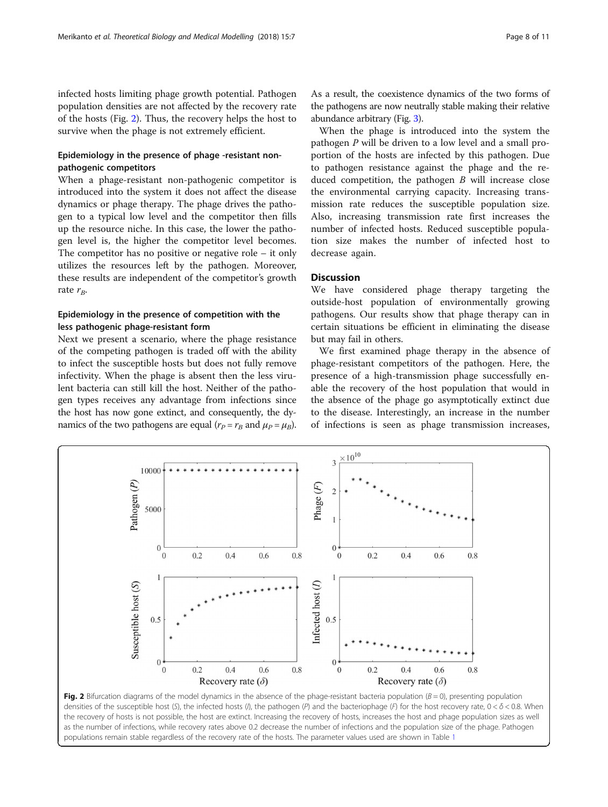<span id="page-7-0"></span>infected hosts limiting phage growth potential. Pathogen population densities are not affected by the recovery rate of the hosts (Fig. 2). Thus, the recovery helps the host to survive when the phage is not extremely efficient.

# Epidemiology in the presence of phage -resistant nonpathogenic competitors

When a phage-resistant non-pathogenic competitor is introduced into the system it does not affect the disease dynamics or phage therapy. The phage drives the pathogen to a typical low level and the competitor then fills up the resource niche. In this case, the lower the pathogen level is, the higher the competitor level becomes. The competitor has no positive or negative role – it only utilizes the resources left by the pathogen. Moreover, these results are independent of the competitor's growth rate  $r_B$ .

# Epidemiology in the presence of competition with the less pathogenic phage-resistant form

Next we present a scenario, where the phage resistance of the competing pathogen is traded off with the ability to infect the susceptible hosts but does not fully remove infectivity. When the phage is absent then the less virulent bacteria can still kill the host. Neither of the pathogen types receives any advantage from infections since the host has now gone extinct, and consequently, the dynamics of the two pathogens are equal  $(r_p = r_B \text{ and } \mu_p = \mu_B)$ . As a result, the coexistence dynamics of the two forms of the pathogens are now neutrally stable making their relative abundance arbitrary (Fig. [3\)](#page-8-0).

When the phage is introduced into the system the pathogen P will be driven to a low level and a small proportion of the hosts are infected by this pathogen. Due to pathogen resistance against the phage and the reduced competition, the pathogen  $B$  will increase close the environmental carrying capacity. Increasing transmission rate reduces the susceptible population size. Also, increasing transmission rate first increases the number of infected hosts. Reduced susceptible population size makes the number of infected host to decrease again.

#### **Discussion**

We have considered phage therapy targeting the outside-host population of environmentally growing pathogens. Our results show that phage therapy can in certain situations be efficient in eliminating the disease but may fail in others.

We first examined phage therapy in the absence of phage-resistant competitors of the pathogen. Here, the presence of a high-transmission phage successfully enable the recovery of the host population that would in the absence of the phage go asymptotically extinct due to the disease. Interestingly, an increase in the number of infections is seen as phage transmission increases,



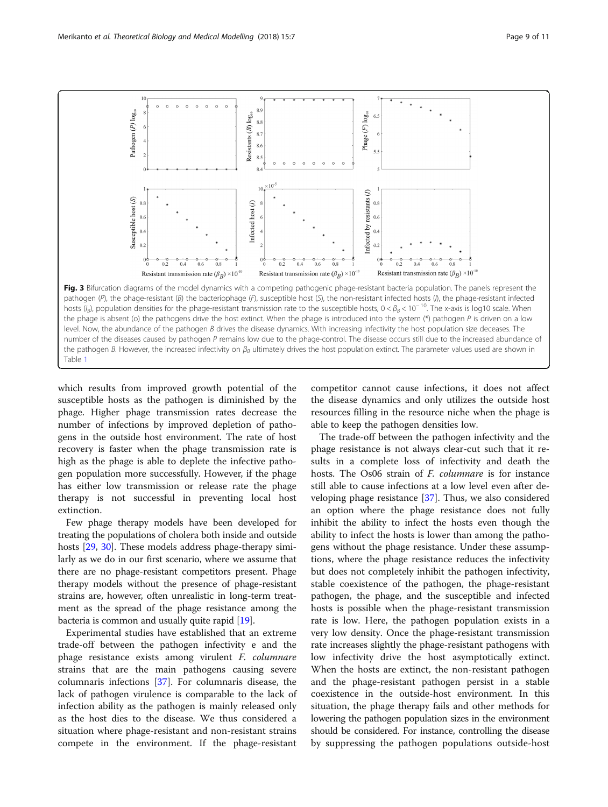<span id="page-8-0"></span>

which results from improved growth potential of the susceptible hosts as the pathogen is diminished by the phage. Higher phage transmission rates decrease the number of infections by improved depletion of pathogens in the outside host environment. The rate of host recovery is faster when the phage transmission rate is high as the phage is able to deplete the infective pathogen population more successfully. However, if the phage has either low transmission or release rate the phage therapy is not successful in preventing local host extinction.

Few phage therapy models have been developed for treating the populations of cholera both inside and outside hosts [\[29,](#page-10-0) [30\]](#page-10-0). These models address phage-therapy similarly as we do in our first scenario, where we assume that there are no phage-resistant competitors present. Phage therapy models without the presence of phage-resistant strains are, however, often unrealistic in long-term treatment as the spread of the phage resistance among the bacteria is common and usually quite rapid [\[19\]](#page-10-0).

Experimental studies have established that an extreme trade-off between the pathogen infectivity e and the phage resistance exists among virulent F. columnare strains that are the main pathogens causing severe columnaris infections [\[37](#page-10-0)]. For columnaris disease, the lack of pathogen virulence is comparable to the lack of infection ability as the pathogen is mainly released only as the host dies to the disease. We thus considered a situation where phage-resistant and non-resistant strains compete in the environment. If the phage-resistant

competitor cannot cause infections, it does not affect the disease dynamics and only utilizes the outside host resources filling in the resource niche when the phage is able to keep the pathogen densities low.

The trade-off between the pathogen infectivity and the phage resistance is not always clear-cut such that it results in a complete loss of infectivity and death the hosts. The Os06 strain of *F. columnare* is for instance still able to cause infections at a low level even after developing phage resistance [\[37\]](#page-10-0). Thus, we also considered an option where the phage resistance does not fully inhibit the ability to infect the hosts even though the ability to infect the hosts is lower than among the pathogens without the phage resistance. Under these assumptions, where the phage resistance reduces the infectivity but does not completely inhibit the pathogen infectivity, stable coexistence of the pathogen, the phage-resistant pathogen, the phage, and the susceptible and infected hosts is possible when the phage-resistant transmission rate is low. Here, the pathogen population exists in a very low density. Once the phage-resistant transmission rate increases slightly the phage-resistant pathogens with low infectivity drive the host asymptotically extinct. When the hosts are extinct, the non-resistant pathogen and the phage-resistant pathogen persist in a stable coexistence in the outside-host environment. In this situation, the phage therapy fails and other methods for lowering the pathogen population sizes in the environment should be considered. For instance, controlling the disease by suppressing the pathogen populations outside-host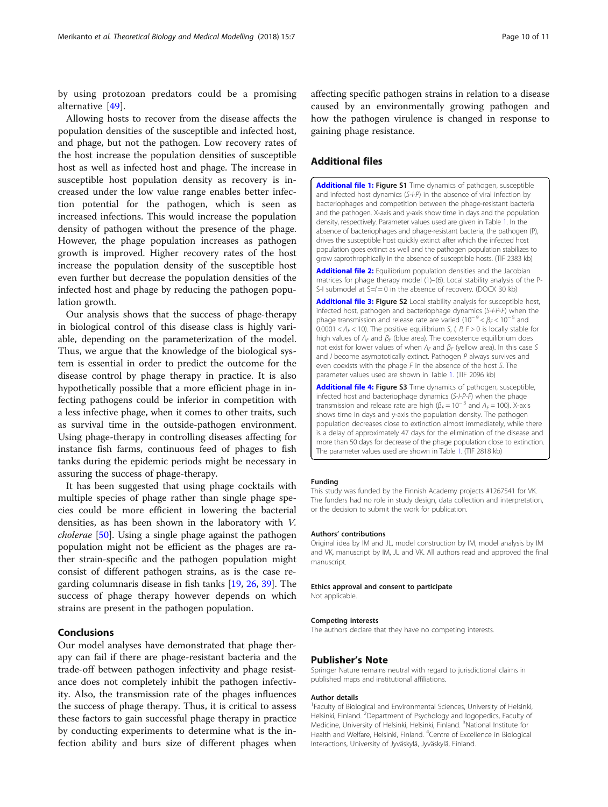<span id="page-9-0"></span>by using protozoan predators could be a promising alternative [\[49\]](#page-10-0).

Allowing hosts to recover from the disease affects the population densities of the susceptible and infected host, and phage, but not the pathogen. Low recovery rates of the host increase the population densities of susceptible host as well as infected host and phage. The increase in susceptible host population density as recovery is increased under the low value range enables better infection potential for the pathogen, which is seen as increased infections. This would increase the population density of pathogen without the presence of the phage. However, the phage population increases as pathogen growth is improved. Higher recovery rates of the host increase the population density of the susceptible host even further but decrease the population densities of the infected host and phage by reducing the pathogen population growth.

Our analysis shows that the success of phage-therapy in biological control of this disease class is highly variable, depending on the parameterization of the model. Thus, we argue that the knowledge of the biological system is essential in order to predict the outcome for the disease control by phage therapy in practice. It is also hypothetically possible that a more efficient phage in infecting pathogens could be inferior in competition with a less infective phage, when it comes to other traits, such as survival time in the outside-pathogen environment. Using phage-therapy in controlling diseases affecting for instance fish farms, continuous feed of phages to fish tanks during the epidemic periods might be necessary in assuring the success of phage-therapy.

It has been suggested that using phage cocktails with multiple species of phage rather than single phage species could be more efficient in lowering the bacterial densities, as has been shown in the laboratory with V. cholerae [[50\]](#page-10-0). Using a single phage against the pathogen population might not be efficient as the phages are rather strain-specific and the pathogen population might consist of different pathogen strains, as is the case regarding columnaris disease in fish tanks [\[19](#page-10-0), [26](#page-10-0), [39](#page-10-0)]. The success of phage therapy however depends on which strains are present in the pathogen population.

### Conclusions

Our model analyses have demonstrated that phage therapy can fail if there are phage-resistant bacteria and the trade-off between pathogen infectivity and phage resistance does not completely inhibit the pathogen infectivity. Also, the transmission rate of the phages influences the success of phage therapy. Thus, it is critical to assess these factors to gain successful phage therapy in practice by conducting experiments to determine what is the infection ability and burs size of different phages when

affecting specific pathogen strains in relation to a disease caused by an environmentally growing pathogen and how the pathogen virulence is changed in response to gaining phage resistance.

# Additional files

[Additional file 1:](https://doi.org/10.1186/s12976-018-0079-8) Figure S1 Time dynamics of pathogen, susceptible and infected host dynamics (S-I-P) in the absence of viral infection by bacteriophages and competition between the phage-resistant bacteria and the pathogen. X-axis and y-axis show time in days and the population density, respectively. Parameter values used are given in Table [1](#page-4-0). In the absence of bacteriophages and phage-resistant bacteria, the pathogen (P), drives the susceptible host quickly extinct after which the infected host population goes extinct as well and the pathogen population stabilizes to grow saprothrophically in the absence of susceptible hosts. (TIF 2383 kb)

[Additional file 2:](https://doi.org/10.1186/s12976-018-0079-8) Equilibrium population densities and the Jacobian matrices for phage therapy model (1)–(6). Local stability analysis of the P-S-I submodel at  $S=I = 0$  in the absence of recovery. (DOCX 30 kb)

[Additional file 3:](https://doi.org/10.1186/s12976-018-0079-8) Figure S2 Local stability analysis for susceptible host, infected host, pathogen and bacteriophage dynamics (S-I-P-F) when the phage transmission and release rate are varied (10<sup>-9</sup> <  $\beta_F$  < 10<sup>-5</sup> and  $0.0001 < A_F < 10$ ). The positive equilibrium S, I, P, F > 0 is locally stable for high values of  $Λ<sub>F</sub>$  and  $β<sub>F</sub>$  (blue area). The coexistence equilibrium does not exist for lower values of when  $Λ_F$  and  $β_F$  (yellow area). In this case S and I become asymptotically extinct. Pathogen P always survives and even coexists with the phage  $F$  in the absence of the host S. The parameter values used are shown in Table [1.](#page-4-0) (TIF 2096 kb)

[Additional file 4:](https://doi.org/10.1186/s12976-018-0079-8) Figure S3 Time dynamics of pathogen, susceptible, infected host and bacteriophage dynamics (S-I-P-F) when the phage transmission and release rate are high ( $\beta_F = 10^{-3}$  and  $\Lambda_F = 100$ ). X-axis shows time in days and y-axis the population density. The pathogen population decreases close to extinction almost immediately, while there is a delay of approximately 47 days for the elimination of the disease and more than 50 days for decrease of the phage population close to extinction. The parameter values used are shown in Table [1.](#page-4-0) (TIF 2818 kb)

#### Funding

This study was funded by the Finnish Academy projects #1267541 for VK. The funders had no role in study design, data collection and interpretation, or the decision to submit the work for publication.

#### Authors' contributions

Original idea by IM and JL, model construction by IM, model analysis by IM and VK, manuscript by IM, JL and VK. All authors read and approved the final manuscript.

#### Ethics approval and consent to participate

Not applicable.

#### Competing interests

The authors declare that they have no competing interests.

#### Publisher's Note

Springer Nature remains neutral with regard to jurisdictional claims in published maps and institutional affiliations.

#### Author details

<sup>1</sup> Faculty of Biological and Environmental Sciences, University of Helsinki Helsinki, Finland. <sup>2</sup>Department of Psychology and logopedics, Faculty of Medicine, University of Helsinki, Helsinki, Finland. <sup>3</sup>National Institute for Health and Welfare, Helsinki, Finland. <sup>4</sup>Centre of Excellence in Biological Interactions, University of Jyväskylä, Jyväskylä, Finland.